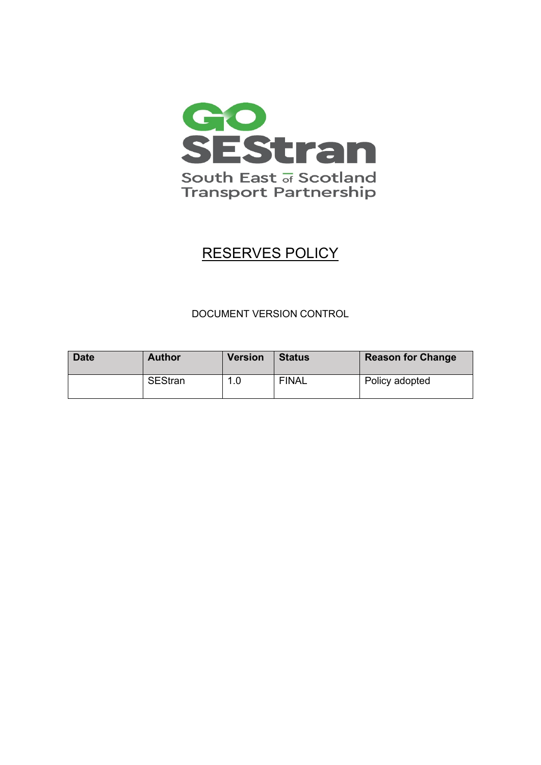

# RESERVES POLICY

# DOCUMENT VERSION CONTROL

| <b>Date</b> | <b>Author</b> | <b>Version</b> | <b>Status</b> | <b>Reason for Change</b> |
|-------------|---------------|----------------|---------------|--------------------------|
|             | SEStran       | 1.0            | <b>FINAL</b>  | Policy adopted           |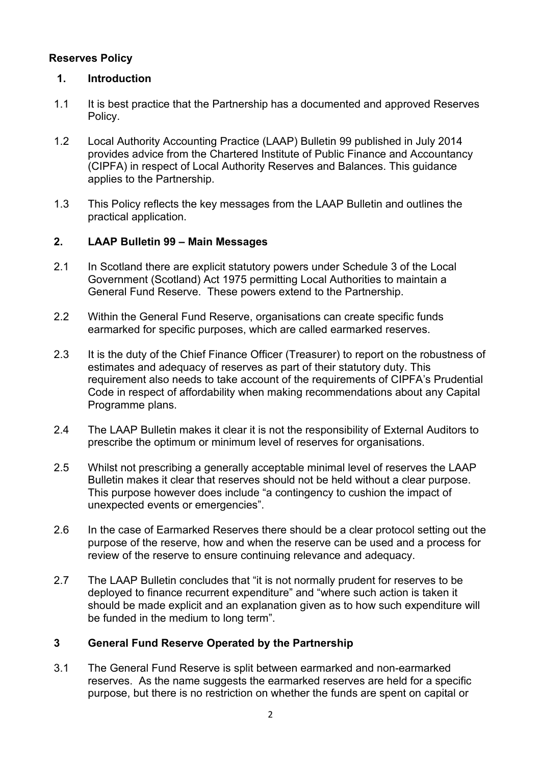# **Reserves Policy**

# **1. Introduction**

- 1.1 It is best practice that the Partnership has a documented and approved Reserves Policy.
- 1.2 Local Authority Accounting Practice (LAAP) Bulletin 99 published in July 2014 provides advice from the Chartered Institute of Public Finance and Accountancy (CIPFA) in respect of Local Authority Reserves and Balances. This guidance applies to the Partnership.
- 1.3 This Policy reflects the key messages from the LAAP Bulletin and outlines the practical application.

### **2. LAAP Bulletin 99 – Main Messages**

- 2.1 In Scotland there are explicit statutory powers under Schedule 3 of the Local Government (Scotland) Act 1975 permitting Local Authorities to maintain a General Fund Reserve. These powers extend to the Partnership.
- 2.2 Within the General Fund Reserve, organisations can create specific funds earmarked for specific purposes, which are called earmarked reserves.
- 2.3 It is the duty of the Chief Finance Officer (Treasurer) to report on the robustness of estimates and adequacy of reserves as part of their statutory duty. This requirement also needs to take account of the requirements of CIPFA's Prudential Code in respect of affordability when making recommendations about any Capital Programme plans.
- 2.4 The LAAP Bulletin makes it clear it is not the responsibility of External Auditors to prescribe the optimum or minimum level of reserves for organisations.
- 2.5 Whilst not prescribing a generally acceptable minimal level of reserves the LAAP Bulletin makes it clear that reserves should not be held without a clear purpose. This purpose however does include "a contingency to cushion the impact of unexpected events or emergencies".
- 2.6 In the case of Earmarked Reserves there should be a clear protocol setting out the purpose of the reserve, how and when the reserve can be used and a process for review of the reserve to ensure continuing relevance and adequacy.
- 2.7 The LAAP Bulletin concludes that "it is not normally prudent for reserves to be deployed to finance recurrent expenditure" and "where such action is taken it should be made explicit and an explanation given as to how such expenditure will be funded in the medium to long term".

# **3 General Fund Reserve Operated by the Partnership**

3.1 The General Fund Reserve is split between earmarked and non-earmarked reserves. As the name suggests the earmarked reserves are held for a specific purpose, but there is no restriction on whether the funds are spent on capital or